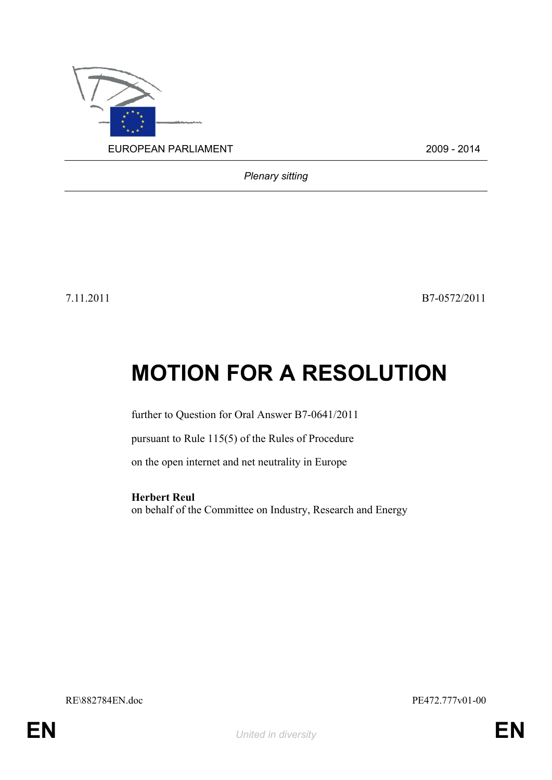

*Plenary sitting*

7.11.2011 B7-0572/2011

# **MOTION FOR A RESOLUTION**

further to Question for Oral Answer B7-0641/2011

pursuant to Rule 115(5) of the Rules of Procedure

on the open internet and net neutrality in Europe

<span id="page-0-0"></span>**Herbert Reul** on behalf of the Committee on Industry, Research and Energy

<span id="page-0-1"></span>RE\882784EN.doc PE472.777v01-00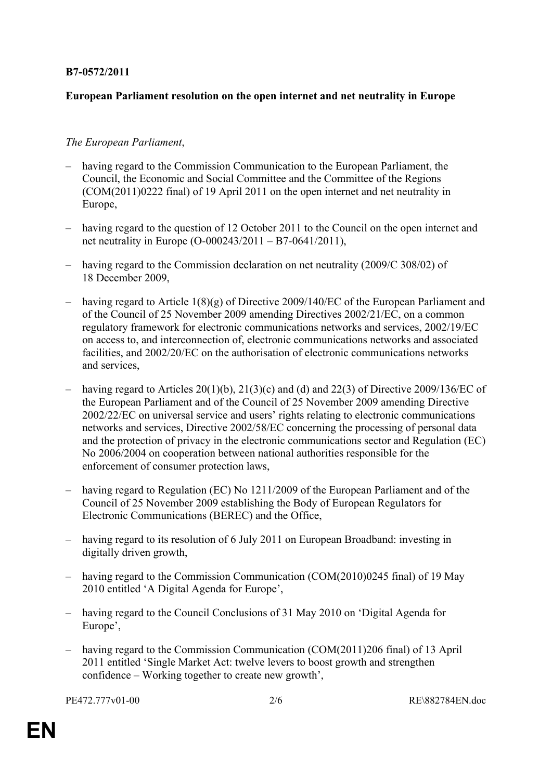## **B7-0572/2011**

## **European Parliament resolution on the open internet and net neutrality in Europe**

### *The European Parliament*,

- having regard to the Commission Communication to the European Parliament, the Council, the Economic and Social Committee and the Committee of the Regions (COM(2011)0222 final) of 19 April 2011 on the open internet and net neutrality in Europe,
- having regard to the question of 12 October 2011 to the Council on the open internet and net neutrality in Europe (O-000243/2011 – B7-0641/2011),
- having regard to the Commission declaration on net neutrality (2009/C 308/02) of 18 December 2009,
- having regard to Article 1(8)(g) of Directive 2009/140/EC of the European Parliament and of the Council of 25 November 2009 amending Directives 2002/21/EC, on a common regulatory framework for electronic communications networks and services, 2002/19/EC on access to, and interconnection of, electronic communications networks and associated facilities, and 2002/20/EC on the authorisation of electronic communications networks and services,
- having regard to Articles 20(1)(b), 21(3)(c) and (d) and 22(3) of Directive 2009/136/EC of the European Parliament and of the Council of 25 November 2009 amending Directive 2002/22/EC on universal service and users' rights relating to electronic communications networks and services, Directive 2002/58/EC concerning the processing of personal data and the protection of privacy in the electronic communications sector and Regulation (EC) No 2006/2004 on cooperation between national authorities responsible for the enforcement of consumer protection laws,
- having regard to Regulation (EC) No 1211/2009 of the European Parliament and of the Council of 25 November 2009 establishing the Body of European Regulators for Electronic Communications (BEREC) and the Office,
- having regard to its resolution of 6 July 2011 on European Broadband: investing in digitally driven growth,
- having regard to the Commission Communication (COM(2010)0245 final) of 19 May 2010 entitled 'A Digital Agenda for Europe',
- having regard to the Council Conclusions of 31 May 2010 on 'Digital Agenda for Europe',
- having regard to the Commission Communication (COM(2011)206 final) of 13 April 2011 entitled 'Single Market Act: twelve levers to boost growth and strengthen confidence – Working together to create new growth',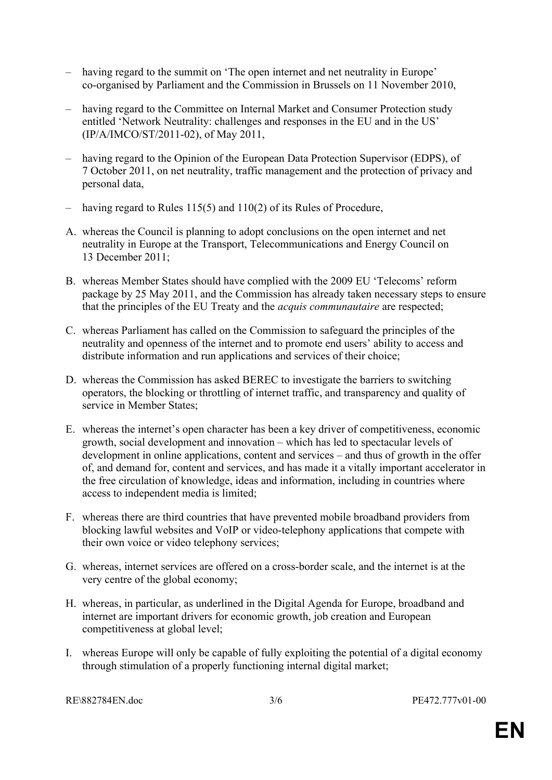- having regard to the summit on 'The open internet and net neutrality in Europe' co-organised by Parliament and the Commission in Brussels on 11 November 2010,
- having regard to the Committee on Internal Market and Consumer Protection study entitled 'Network Neutrality: challenges and responses in the EU and in the US' (IP/A/IMCO/ST/2011-02), of May 2011,
- having regard to the Opinion of the European Data Protection Supervisor (EDPS), of 7 October 2011, on net neutrality, traffic management and the protection of privacy and personal data,
- having regard to Rules 115(5) and 110(2) of its Rules of Procedure,
- A. whereas the Council is planning to adopt conclusions on the open internet and net neutrality in Europe at the Transport, Telecommunications and Energy Council on 13 December 2011;
- B. whereas Member States should have complied with the 2009 EU 'Telecoms' reform package by 25 May 2011, and the Commission has already taken necessary steps to ensure that the principles of the EU Treaty and the *acquis communautaire* are respected;
- C. whereas Parliament has called on the Commission to safeguard the principles of the neutrality and openness of the internet and to promote end users' ability to access and distribute information and run applications and services of their choice;
- D. whereas the Commission has asked BEREC to investigate the barriers to switching operators, the blocking or throttling of internet traffic, and transparency and quality of service in Member States;
- E. whereas the internet's open character has been a key driver of competitiveness, economic growth, social development and innovation – which has led to spectacular levels of development in online applications, content and services – and thus of growth in the offer of, and demand for, content and services, and has made it a vitally important accelerator in the free circulation of knowledge, ideas and information, including in countries where access to independent media is limited;
- F. whereas there are third countries that have prevented mobile broadband providers from blocking lawful websites and VoIP or video-telephony applications that compete with their own voice or video telephony services;
- G. whereas, internet services are offered on a cross-border scale, and the internet is at the very centre of the global economy;
- H. whereas, in particular, as underlined in the Digital Agenda for Europe, broadband and internet are important drivers for economic growth, job creation and European competitiveness at global level;
- I. whereas Europe will only be capable of fully exploiting the potential of a digital economy through stimulation of a properly functioning internal digital market;

[RE\882784EN.doc](#page-0-1) 3/6 [PE472.777v01-00](#page-0-0)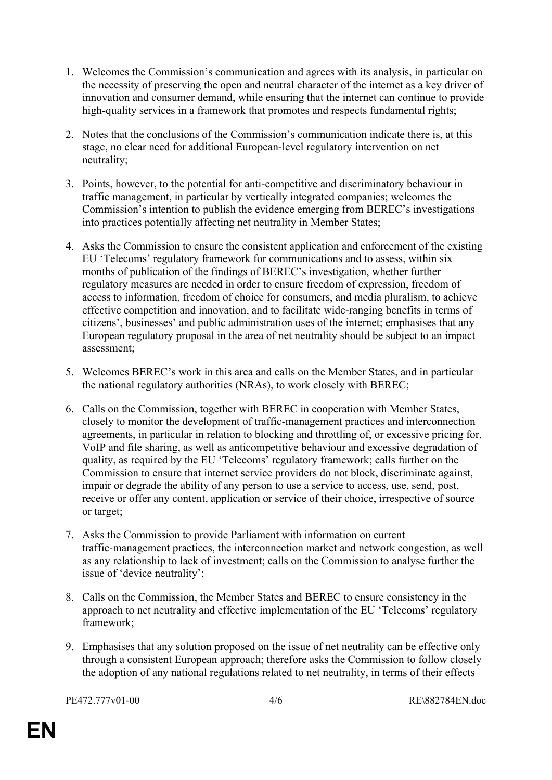- 1. Welcomes the Commission's communication and agrees with its analysis, in particular on the necessity of preserving the open and neutral character of the internet as a key driver of innovation and consumer demand, while ensuring that the internet can continue to provide high-quality services in a framework that promotes and respects fundamental rights;
- 2. Notes that the conclusions of the Commission's communication indicate there is, at this stage, no clear need for additional European-level regulatory intervention on net neutrality;
- 3. Points, however, to the potential for anti-competitive and discriminatory behaviour in traffic management, in particular by vertically integrated companies; welcomes the Commission's intention to publish the evidence emerging from BEREC's investigations into practices potentially affecting net neutrality in Member States;
- 4. Asks the Commission to ensure the consistent application and enforcement of the existing EU 'Telecoms' regulatory framework for communications and to assess, within six months of publication of the findings of BEREC's investigation, whether further regulatory measures are needed in order to ensure freedom of expression, freedom of access to information, freedom of choice for consumers, and media pluralism, to achieve effective competition and innovation, and to facilitate wide-ranging benefits in terms of citizens', businesses' and public administration uses of the internet; emphasises that any European regulatory proposal in the area of net neutrality should be subject to an impact assessment;
- 5. Welcomes BEREC's work in this area and calls on the Member States, and in particular the national regulatory authorities (NRAs), to work closely with BEREC;
- 6. Calls on the Commission, together with BEREC in cooperation with Member States, closely to monitor the development of traffic-management practices and interconnection agreements, in particular in relation to blocking and throttling of, or excessive pricing for, VoIP and file sharing, as well as anticompetitive behaviour and excessive degradation of quality, as required by the EU 'Telecoms' regulatory framework; calls further on the Commission to ensure that internet service providers do not block, discriminate against, impair or degrade the ability of any person to use a service to access, use, send, post, receive or offer any content, application or service of their choice, irrespective of source or target;
- 7. Asks the Commission to provide Parliament with information on current traffic-management practices, the interconnection market and network congestion, as well as any relationship to lack of investment; calls on the Commission to analyse further the issue of 'device neutrality';
- 8. Calls on the Commission, the Member States and BEREC to ensure consistency in the approach to net neutrality and effective implementation of the EU 'Telecoms' regulatory framework;
- 9. Emphasises that any solution proposed on the issue of net neutrality can be effective only through a consistent European approach; therefore asks the Commission to follow closely the adoption of any national regulations related to net neutrality, in terms of their effects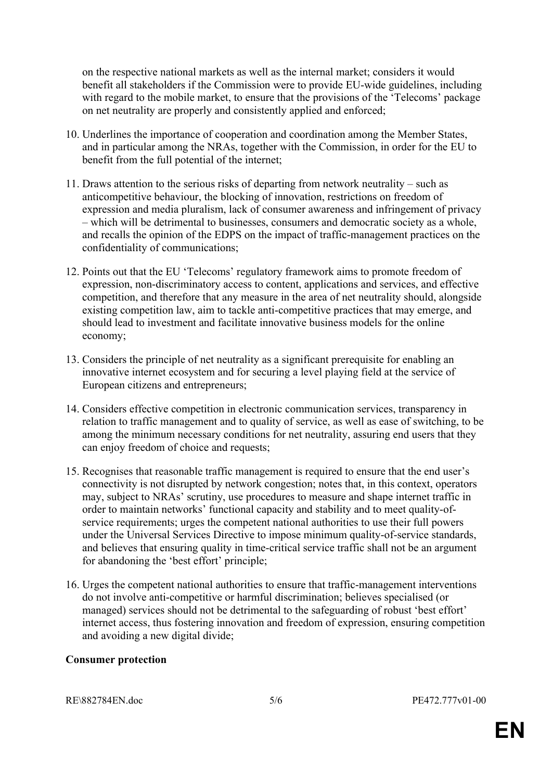on the respective national markets as well as the internal market; considers it would benefit all stakeholders if the Commission were to provide EU-wide guidelines, including with regard to the mobile market, to ensure that the provisions of the 'Telecoms' package on net neutrality are properly and consistently applied and enforced;

- 10. Underlines the importance of cooperation and coordination among the Member States, and in particular among the NRAs, together with the Commission, in order for the EU to benefit from the full potential of the internet;
- 11. Draws attention to the serious risks of departing from network neutrality such as anticompetitive behaviour, the blocking of innovation, restrictions on freedom of expression and media pluralism, lack of consumer awareness and infringement of privacy – which will be detrimental to businesses, consumers and democratic society as a whole, and recalls the opinion of the EDPS on the impact of traffic-management practices on the confidentiality of communications;
- 12. Points out that the EU 'Telecoms' regulatory framework aims to promote freedom of expression, non-discriminatory access to content, applications and services, and effective competition, and therefore that any measure in the area of net neutrality should, alongside existing competition law, aim to tackle anti-competitive practices that may emerge, and should lead to investment and facilitate innovative business models for the online economy;
- 13. Considers the principle of net neutrality as a significant prerequisite for enabling an innovative internet ecosystem and for securing a level playing field at the service of European citizens and entrepreneurs;
- 14. Considers effective competition in electronic communication services, transparency in relation to traffic management and to quality of service, as well as ease of switching, to be among the minimum necessary conditions for net neutrality, assuring end users that they can enjoy freedom of choice and requests;
- 15. Recognises that reasonable traffic management is required to ensure that the end user's connectivity is not disrupted by network congestion; notes that, in this context, operators may, subject to NRAs' scrutiny, use procedures to measure and shape internet traffic in order to maintain networks' functional capacity and stability and to meet quality-ofservice requirements; urges the competent national authorities to use their full powers under the Universal Services Directive to impose minimum quality-of-service standards, and believes that ensuring quality in time-critical service traffic shall not be an argument for abandoning the 'best effort' principle;
- 16. Urges the competent national authorities to ensure that traffic-management interventions do not involve anti-competitive or harmful discrimination; believes specialised (or managed) services should not be detrimental to the safeguarding of robust 'best effort' internet access, thus fostering innovation and freedom of expression, ensuring competition and avoiding a new digital divide;

#### **Consumer protection**

[RE\882784EN.doc](#page-0-1) 5/6 [PE472.777v01-00](#page-0-0)